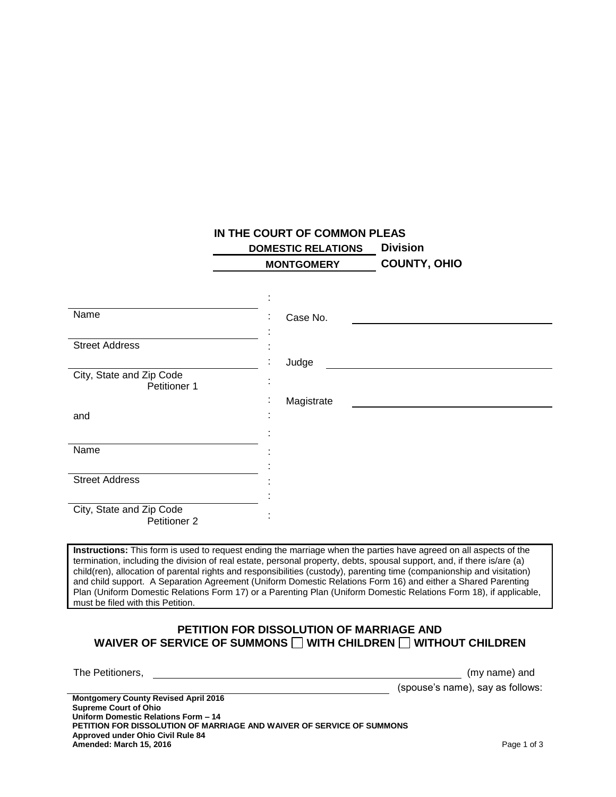## **IN THE COURT OF COMMON PLEAS**

 **DOMESTIC RELATIONS Division MONTGOMERY COUNTY, OHIO**

|                                          | ٠<br>٠           |
|------------------------------------------|------------------|
| Name                                     | Case No.<br>÷    |
|                                          |                  |
| <b>Street Address</b>                    | ٠                |
|                                          | Judge<br>٠       |
| City, State and Zip Code<br>Petitioner 1 | ٠<br>٠           |
|                                          | Magistrate<br>٠. |
| and                                      | ٠<br>٠           |
|                                          |                  |
| Name                                     |                  |
|                                          |                  |
| <b>Street Address</b>                    |                  |
|                                          |                  |
| City, State and Zip Code<br>Petitioner 2 | ٠                |

**Instructions:** This form is used to request ending the marriage when the parties have agreed on all aspects of the termination, including the division of real estate, personal property, debts, spousal support, and, if there is/are (a) child(ren), allocation of parental rights and responsibilities (custody), parenting time (companionship and visitation) and child support. A Separation Agreement (Uniform Domestic Relations Form 16) and either a Shared Parenting Plan (Uniform Domestic Relations Form 17) or a Parenting Plan (Uniform Domestic Relations Form 18), if applicable, must be filed with this Petition.

## **PETITION FOR DISSOLUTION OF MARRIAGE AND** WAIVER OF SERVICE OF SUMMONS  $\Box$  WITH CHILDREN  $\Box$  WITHOUT CHILDREN

The Petitioners,  $(my \text{ name})$  and (spouse's name), say as follows:

**Montgomery County Revised April 2016 Supreme Court of Ohio Uniform Domestic Relations Form – 14 PETITION FOR DISSOLUTION OF MARRIAGE AND WAIVER OF SERVICE OF SUMMONS Approved under Ohio Civil Rule 84 Amended: March 15, 2016 Page 1 of 3 Page 1 of 3**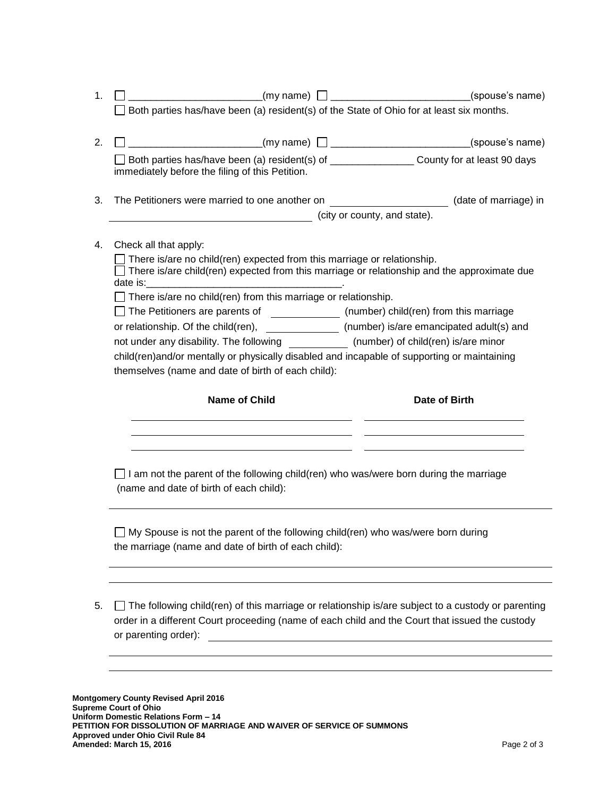| $(my \text{ name})$ $\Box$ __________________________________(spouse's name)                                                                                                                                                                                                   |  |  |  |
|--------------------------------------------------------------------------------------------------------------------------------------------------------------------------------------------------------------------------------------------------------------------------------|--|--|--|
| Both parties has/have been (a) resident(s) of the State of Ohio for at least six months.                                                                                                                                                                                       |  |  |  |
|                                                                                                                                                                                                                                                                                |  |  |  |
| Both parties has/have been (a) resident(s) of ___________________County for at least 90 days<br>immediately before the filing of this Petition.                                                                                                                                |  |  |  |
|                                                                                                                                                                                                                                                                                |  |  |  |
| The Petitioners were married to one another on _______________________(date of marriage) in<br>city or county, and state).                                                                                                                                                     |  |  |  |
| Check all that apply:                                                                                                                                                                                                                                                          |  |  |  |
| There is/are no child(ren) expected from this marriage or relationship.<br>$\Box$ There is/are child(ren) expected from this marriage or relationship and the approximate due                                                                                                  |  |  |  |
| $\exists$ There is/are no child(ren) from this marriage or relationship.                                                                                                                                                                                                       |  |  |  |
| $\Box$ The Petitioners are parents of $\qquad \qquad$ (number) child(ren) from this marriage                                                                                                                                                                                   |  |  |  |
| or relationship. Of the child(ren), ______________ (number) is/are emancipated adult(s) and                                                                                                                                                                                    |  |  |  |
| not under any disability. The following (number) of child(ren) is/are minor                                                                                                                                                                                                    |  |  |  |
| child(ren)and/or mentally or physically disabled and incapable of supporting or maintaining                                                                                                                                                                                    |  |  |  |
| themselves (name and date of birth of each child):                                                                                                                                                                                                                             |  |  |  |
| <b>Name of Child</b><br>Date of Birth                                                                                                                                                                                                                                          |  |  |  |
|                                                                                                                                                                                                                                                                                |  |  |  |
| I am not the parent of the following child(ren) who was/were born during the marriage<br>(name and date of birth of each child):                                                                                                                                               |  |  |  |
| My Spouse is not the parent of the following child(ren) who was/were born during<br>the marriage (name and date of birth of each child):                                                                                                                                       |  |  |  |
| The following child(ren) of this marriage or relationship is/are subject to a custody or parenting<br>order in a different Court proceeding (name of each child and the Court that issued the custody<br>or parenting order):<br><u> 1980 - Andrea Andrew Maria (h. 1980).</u> |  |  |  |
|                                                                                                                                                                                                                                                                                |  |  |  |